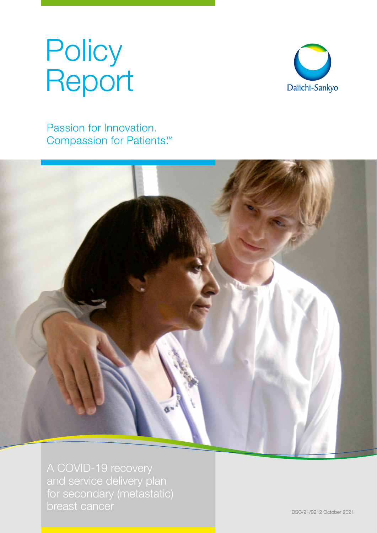# **Policy** Report



Passion for Innovation. Compassion for Patients.<sup>™</sup>



and service delivery plan for secondary (metastatic) breast cancer **DSC/21/0212 October 2021**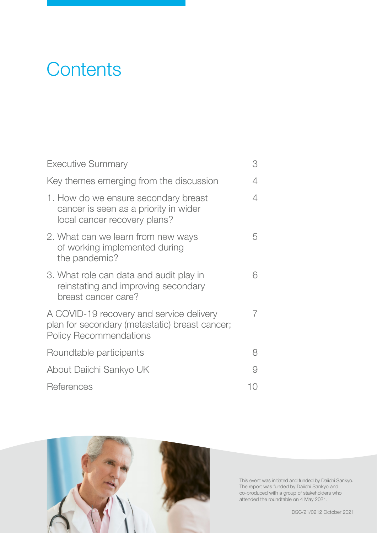## **Contents**

| <b>Executive Summary</b>                                                                                                    | З |
|-----------------------------------------------------------------------------------------------------------------------------|---|
| Key themes emerging from the discussion                                                                                     |   |
| 1. How do we ensure secondary breast<br>cancer is seen as a priority in wider<br>local cancer recovery plans?               | 4 |
| 2. What can we learn from new ways<br>of working implemented during<br>the pandemic?                                        | 5 |
| 3. What role can data and audit play in<br>reinstating and improving secondary<br>breast cancer care?                       | 6 |
| A COVID-19 recovery and service delivery<br>plan for secondary (metastatic) breast cancer;<br><b>Policy Recommendations</b> | 7 |
| Roundtable participants                                                                                                     | 8 |
| About Daiichi Sankyo UK                                                                                                     |   |
| References                                                                                                                  |   |



This event was initiated and funded by Daiichi Sankyo. The report was funded by Daiichi Sankyo and co-produced with a group of stakeholders who attended the roundtable on 4 May 2021.

DSC/21/0212 October 2021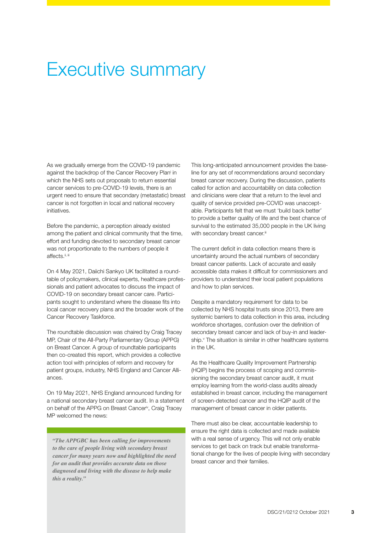### Executive summary

As we gradually emerge from the COVID-19 pandemic against the backdrop of the Cancer Recovery Plan<sup>i</sup> in which the NHS sets out proposals to return essential cancer services to pre-COVID-19 levels, there is an urgent need to ensure that secondary (metastatic) breast cancer is not forgotten in local and national recovery initiatives.

Before the pandemic, a perception already existed among the patient and clinical community that the time, effort and funding devoted to secondary breast cancer was not proportionate to the numbers of people it affects.<sup>ii, iii</sup>

On 4 May 2021, Daiichi Sankyo UK facilitated a roundtable of policymakers, clinical experts, healthcare professionals and patient advocates to discuss the impact of COVID-19 on secondary breast cancer care. Participants sought to understand where the disease fits into local cancer recovery plans and the broader work of the Cancer Recovery Taskforce.

The roundtable discussion was chaired by Craig Tracey MP, Chair of the All-Party Parliamentary Group (APPG) on Breast Cancer. A group of roundtable participants then co-created this report, which provides a collective action tool with principles of reform and recovery for patient groups, industry, NHS England and Cancer Alliances.

On 19 May 2021, NHS England announced funding for a national secondary breast cancer audit. In a statement on behalf of the APPG on Breast Cancer<sup>iv</sup>, Craig Tracey MP welcomed the news:

*"The APPGBC has been calling for improvements to the care of people living with secondary breast cancer for many years now and highlighted the need for an audit that provides accurate data on those diagnosed and living with the disease to help make this a reality."*

This long-anticipated announcement provides the baseline for any set of recommendations around secondary breast cancer recovery. During the discussion, patients called for action and accountability on data collection and clinicians were clear that a return to the level and quality of service provided pre-COVID was unacceptable. Participants felt that we must 'build back better' to provide a better quality of life and the best chance of survival to the estimated 35,000 people in the UK living with secondary breast cancer.<sup>iii</sup>

The current deficit in data collection means there is uncertainty around the actual numbers of secondary breast cancer patients. Lack of accurate and easily accessible data makes it difficult for commissioners and providers to understand their local patient populations and how to plan services.

Despite a mandatory requirement for data to be collected by NHS hospital trusts since 2013, there are systemic barriers to data collection in this area, including workforce shortages, confusion over the definition of secondary breast cancer and lack of buy-in and leadership.<sup>v</sup> The situation is similar in other healthcare systems in the UK.

As the Healthcare Quality Improvement Partnership (HQIP) begins the process of scoping and commissioning the secondary breast cancer audit, it must employ learning from the world-class audits already established in breast cancer, including the management of screen-detected cancer and the HQIP audit of the management of breast cancer in older patients.

There must also be clear, accountable leadership to ensure the right data is collected and made available with a real sense of urgency. This will not only enable services to get back on track but enable transformational change for the lives of people living with secondary breast cancer and their families.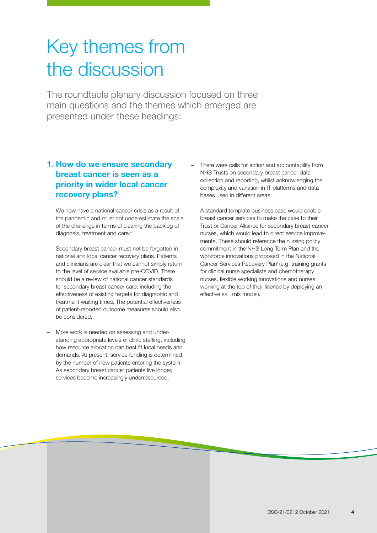## Key themes from the discussion

The roundtable plenary discussion focused on three main questions and the themes which emerged are presented under these headings:

#### 1. How do we ensure secondary breast cancer is seen as a priority in wider local cancer recovery plans?

- We now have a national cancer crisis as a result of the pandemic and must not underestimate the scale of the challenge in terms of clearing the backlog of diagnosis, treatment and care.<sup>vi</sup>
- Secondary breast cancer must not be forgotten in national and local cancer recovery plans. Patients and clinicians are clear that we cannot simply return to the level of service available pre-COVID. There should be a review of national cancer standards for secondary breast cancer care, including the effectiveness of existing targets for diagnostic and treatment waiting times. The potential effectiveness of patient-reported outcome measures should also be considered.
- More work is needed on assessing and understanding appropriate levels of clinic staffing, including how resource allocation can best fit local needs and demands. At present, service funding is determined by the number of new patients entering the system. As secondary breast cancer patients live longer, services become increasingly underresourced.
- There were calls for action and accountability from NHS Trusts on secondary breast cancer data collection and reporting, whilst acknowledging the complexity and variation in IT platforms and databases used in different areas.
- A standard template business case would enable breast cancer services to make the case to their Trust or Cancer Alliance for secondary breast cancer nurses, which would lead to direct service improvements. These should reference the nursing policy commitment in the NHS Long Term Plan and the workforce innovations proposed in the National Cancer Services Recovery Plan<sup>i</sup> (e.g. training grants for clinical nurse specialists and chemotherapy nurses, flexible working innovations and nurses working at the top of their licence by deploying an effective skill mix model).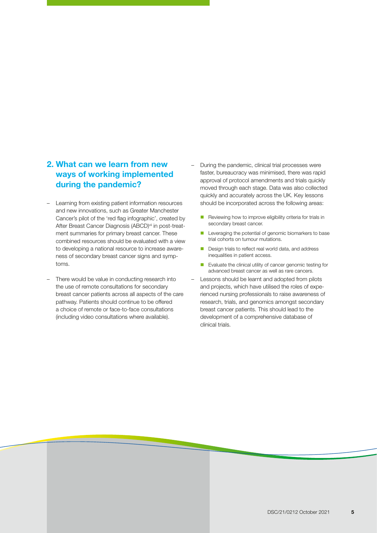#### 2. What can we learn from new ways of working implemented during the pandemic?

- Learning from existing patient information resources and new innovations, such as Greater Manchester Cancer's pilot of the 'red flag infographic', created by After Breast Cancer Diagnosis (ABCD)<sup>vii</sup> in post-treatment summaries for primary breast cancer. These combined resources should be evaluated with a view to developing a national resource to increase awareness of secondary breast cancer signs and symptoms.
- There would be value in conducting research into the use of remote consultations for secondary breast cancer patients across all aspects of the care pathway. Patients should continue to be offered a choice of remote or face-to-face consultations (including video consultations where available).
- During the pandemic, clinical trial processes were faster, bureaucracy was minimised, there was rapid approval of protocol amendments and trials quickly moved through each stage. Data was also collected quickly and accurately across the UK. Key lessons should be incorporated across the following areas:
	- Reviewing how to improve eligibility criteria for trials in secondary breast cancer.
	- Leveraging the potential of genomic biomarkers to base trial cohorts on tumour mutations.
	- Design trials to reflect real world data, and address inequalities in patient access.
	- Evaluate the clinical utility of cancer genomic testing for advanced breast cancer as well as rare cancers.
- Lessons should be learnt and adopted from pilots and projects, which have utilised the roles of experienced nursing professionals to raise awareness of research, trials, and genomics amongst secondary breast cancer patients. This should lead to the development of a comprehensive database of clinical trials.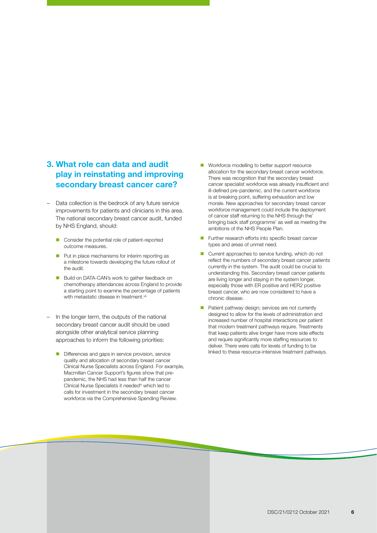#### 3. What role can data and audit play in reinstating and improving secondary breast cancer care?

- Data collection is the bedrock of any future service improvements for patients and clinicians in this area. The national secondary breast cancer audit, funded by NHS England, should:
	- Consider the potential role of patient-reported outcome measures.
	- Put in place mechanisms for interim reporting as a milestone towards developing the future rollout of the audit.
	- **Build on DATA-CAN's work to gather feedback on** chemotherapy attendances across England to provide a starting point to examine the percentage of patients with metastatic disease in treatment.<sup>viii</sup>
- In the longer term, the outputs of the national secondary breast cancer audit should be used alongside other analytical service planning approaches to inform the following priorities:
	- Differences and gaps in service provision, service quality and allocation of secondary breast cancer Clinical Nurse Specialists across England. For example, Macmillan Cancer Support's figures show that prepandemic, the NHS had less than half the cancer Clinical Nurse Specialists it needed<sup>ix</sup> which led to calls for investment in the secondary breast cancer workforce via the Comprehensive Spending Review.

<u> a shekara ta 1991 a shekara ta 1991 a shekara ta 1991 a shekara ta 1991 a shekara ta 1991 a 1991 a 1991 a 199</u>

- Workforce modelling to better support resource allocation for the secondary breast cancer workforce. There was recognition that the secondary breast cancer specialist workforce was already insufficient and ill-defined pre-pandemic, and the current workforce is at breaking point, suffering exhaustion and low morale. New approaches for secondary breast cancer workforce management could include the deployment of cancer staff returning to the NHS through the' bringing back staff programme' as well as meeting the ambitions of the NHS People Plan.
- Further research efforts into specific breast cancer types and areas of unmet need.
- Current approaches to service funding, which do not reflect the numbers of secondary breast cancer patients currently in the system. The audit could be crucial to understanding this. Secondary breast cancer patients are living longer and staying in the system longer, especially those with ER positive and HER2 positive breast cancer, who are now considered to have a chronic disease.
- Patient pathway design; services are not currently designed to allow for the levels of administration and increased number of hospital interactions per patient that modern treatment pathways require. Treatments that keep patients alive longer have more side effects and require significantly more staffing resources to deliver. There were calls for levels of funding to be linked to these resource-intensive treatment pathways.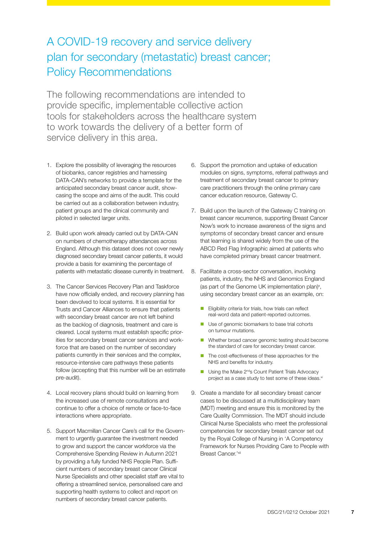### A COVID-19 recovery and service delivery plan for secondary (metastatic) breast cancer; Policy Recommendations

The following recommendations are intended to provide specific, implementable collective action tools for stakeholders across the healthcare system to work towards the delivery of a better form of service delivery in this area.

- 1. Explore the possibility of leveraging the resources of biobanks, cancer registries and harnessing DATA-CAN's networks to provide a template for the anticipated secondary breast cancer audit, showcasing the scope and aims of the audit. This could be carried out as a collaboration between industry, patient groups and the clinical community and piloted in selected larger units.
- 2. Build upon work already carried out by DATA-CAN on numbers of chemotherapy attendances across England. Although this dataset does not cover newly diagnosed secondary breast cancer patients, it would provide a basis for examining the percentage of patients with metastatic disease currently in treatment.
- 3. The Cancer Services Recovery Plan and Taskforce have now officially ended, and recovery planning has been devolved to local systems. It is essential for Trusts and Cancer Alliances to ensure that patients with secondary breast cancer are not left behind as the backlog of diagnosis, treatment and care is cleared. Local systems must establish specific priorities for secondary breast cancer services and workforce that are based on the number of secondary patients currently in their services and the complex, resource-intensive care pathways these patients follow (accepting that this number will be an estimate pre-audit).
- 4. Local recovery plans should build on learning from the increased use of remote consultations and continue to offer a choice of remote or face-to-face interactions where appropriate.
- 5. Support Macmillan Cancer Care's call for the Government to urgently guarantee the investment needed to grow and support the cancer workforce via the Comprehensive Spending Review in Autumn 2021 by providing a fully funded NHS People Plan. Sufficient numbers of secondary breast cancer Clinical Nurse Specialists and other specialist staff are vital to offering a streamlined service, personalised care and supporting health systems to collect and report on numbers of secondary breast cancer patients.
- 6. Support the promotion and uptake of education modules on signs, symptoms, referral pathways and treatment of secondary breast cancer to primary care practitioners through the online primary care cancer education resource, Gateway C.
- 7. Build upon the launch of the Gateway C training on breast cancer recurrence, supporting Breast Cancer Now's work to increase awareness of the signs and symptoms of secondary breast cancer and ensure that learning is shared widely from the use of the ABCD Red Flag Infographic aimed at patients who have completed primary breast cancer treatment.
- 8. Facilitate a cross-sector conversation, involving patients, industry, the NHS and Genomics England (as part of the Genome UK implementation plan)<sup>x</sup>, using secondary breast cancer as an example, on:
	- **Eligibility criteria for trials, how trials can reflect** real-word data and patient-reported outcomes.
	- Use of genomic biomarkers to base trial cohorts on tumour mutations.
	- Whether broad cancer genomic testing should become the standard of care for secondary breast cancer.
	- The cost-effectiveness of these approaches for the NHS and benefits for industry.
	- $\blacksquare$  Using the Make 2<sup>nd</sup>s Count Patient Trials Advocacy project as a case study to test some of these ideas.<sup>xi</sup>
- 9. Create a mandate for all secondary breast cancer cases to be discussed at a multidisciplinary team (MDT) meeting and ensure this is monitored by the Care Quality Commission. The MDT should include Clinical Nurse Specialists who meet the professional competencies for secondary breast cancer set out by the Royal College of Nursing in 'A Competency Framework for Nurses Providing Care to People with Breast Cancer.'xii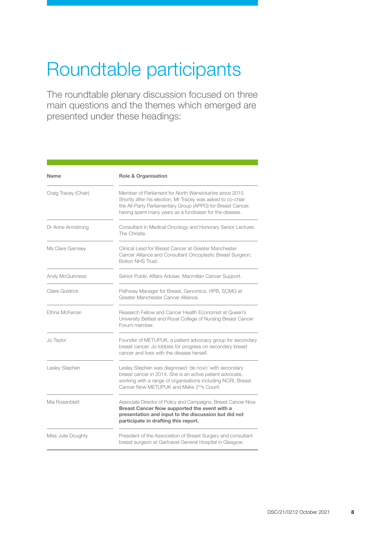## Roundtable participants

The roundtable plenary discussion focused on three main questions and the themes which emerged are presented under these headings:

| <b>Name</b>            | <b>Role &amp; Organisation</b>                                                                                                                                                                                                                    |
|------------------------|---------------------------------------------------------------------------------------------------------------------------------------------------------------------------------------------------------------------------------------------------|
| Craig Tracey (Chair)   | Member of Parliament for North Warwickshire since 2015.<br>Shortly after his election, Mr Tracey was asked to co-chair<br>the All-Party Parliamentary Group (APPG) for Breast Cancer,<br>having spent many years as a fundraiser for the disease. |
| Dr Anne Armstrong      | Consultant in Medical Oncology and Honorary Senior Lecturer,<br>The Christie.                                                                                                                                                                     |
| Ms Clare Garnsey       | Clinical Lead for Breast Cancer at Greater Manchester<br>Cancer Alliance and Consultant Oncoplastic Breast Surgeon,<br>Bolton NHS Trust.                                                                                                          |
| <b>Andy McGuinness</b> | Senior Public Affairs Adviser, Macmillan Cancer Support.                                                                                                                                                                                          |
| Claire Goldrick        | Pathway Manager for Breast, Genomics, HPB, SCMG at<br>Greater Manchester Cancer Alliance.                                                                                                                                                         |
| Ethna McFerran         | Research Fellow and Cancer Health Economist at Queen's<br>University Belfast and Royal College of Nursing Breast Cancer<br>Forum member.                                                                                                          |
| Jo Taylor              | Founder of METUPUK, a patient advocacy group for secondary<br>breast cancer. Jo lobbies for progress on secondary breast<br>cancer and lives with the disease herself.                                                                            |
| Lesley Stephen         | Lesley Stephen was diagnosed 'de novo' with secondary<br>breast cancer in 2014. She is an active patient advocate,<br>working with a range of organisations including NCRI, Breast<br>Cancer Now METUPUK and Make 2 <sup>nd</sup> s Count.        |
| Mia Rosenblatt         | Associate Director of Policy and Campaigns, Breast Cancer Now.<br>Breast Cancer Now supported the event with a<br>presentation and input to the discussion but did not<br>participate in drafting this report.                                    |
| Miss Julie Doughty     | President of the Association of Breast Surgery and consultant<br>breast surgeon at Gartnavel General Hospital in Glasgow.                                                                                                                         |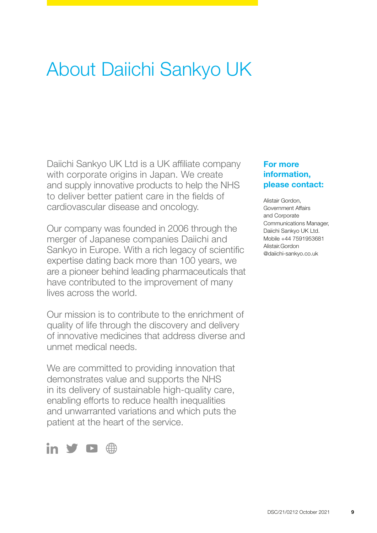## About Daiichi Sankyo UK

Daiichi Sankyo UK Ltd is a UK affiliate company with corporate origins in Japan. We create and supply innovative products to help the NHS to deliver better patient care in the fields of cardiovascular disease and oncology.

Our company was founded in 2006 through the merger of Japanese companies Daiichi and Sankyo in Europe. With a rich legacy of scientific expertise dating back more than 100 years, we are a pioneer behind leading pharmaceuticals that have contributed to the improvement of many lives across the world.

Our mission is to contribute to the enrichment of quality of life through the discovery and delivery of innovative medicines that address diverse and unmet medical needs.

We are committed to providing innovation that demonstrates value and supports the NHS in its delivery of sustainable high-quality care, enabling efforts to reduce health inequalities and unwarranted variations and which puts the patient at the heart of the service.



#### For more information, please contact:

Alistair Gordon, Government Affairs and Corporate Communications Manager, Daiichi Sankyo UK Ltd. Mobile +44 7591953681 [Alistair.Gordon](mailto:alistair.gordon%40daiichi-sankyo.co.uk?subject=) [@daiichi-sankyo.co.uk](mailto:alistair.gordon%40daiichi-sankyo.co.uk?subject=)